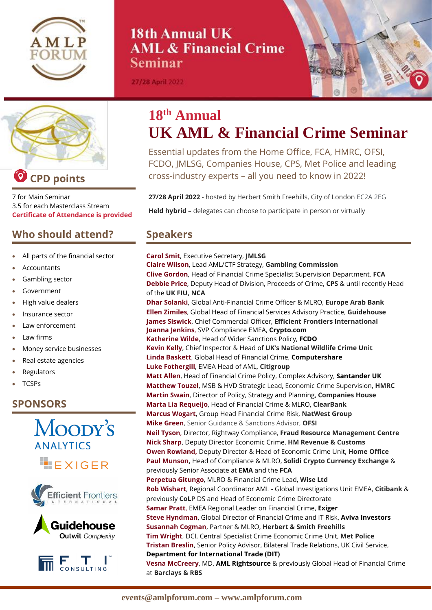

# 18th Annual UK **AML & Financial Crime Seminar**

27/28 April 2022





**CPD points**

7 for Main Seminar 3.5 for each Masterclass Stream **Certificate of Attendance is provided**

## **Who should attend?**

- All parts of the financial sector
- **Accountants**
- Gambling sector
- **Government**
- High value dealers
- Insurance sector
- Law enforcement
- Law firms
- Money service businesses
- Real estate agencies
- **Regulators**
- TCSPs

## **SPONSORS**





# **18 th Annual UK AML & Financial Crime Seminar**

Essential updates from the Home Office, FCA, HMRC, OFSI, FCDO, JMLSG, Companies House, CPS, Met Police and leading cross-industry experts – all you need to know in 2022!

**27/28 April 2022** - hosted by Herbert Smith Freehills, City of London EC2A 2EG **Held hybrid –** delegates can choose to participate in person or virtually

## **Speakers**

### **events@amlpforum.com – www.amlpforum.com** at **Barclays & RBS Carol Smit**, Executive Secretary, **JMLSG Claire Wilson**, Lead AML/CTF Strategy, **Gambling Commission Clive Gordon**, Head of Financial Crime Specialist Supervision Department, **FCA Debbie Price**, Deputy Head of Division, Proceeds of Crime, **CPS** & until recently Head of the **UK FIU, NCA Dhar Solanki**, Global Anti-Financial Crime Officer & MLRO, **Europe Arab Bank Ellen Zimiles**, Global Head of Financial Services Advisory Practice, **Guidehouse James Siswick**, Chief Commercial Officer, **Efficient Frontiers International Joanna Jenkins**, SVP Compliance EMEA, **Crypto.com Katherine Wilde**, Head of Wider Sanctions Policy, **FCDO Kevin Kelly**, Chief Inspector & Head of **UK's National Wildlife Crime Unit Linda Baskett**, Global Head of Financial Crime, **Computershare Luke Fothergill**, EMEA Head of AML, **Citigroup Matt Allen**, Head of Financial Crime Policy, Complex Advisory, **Santander UK Matthew Touzel**, MSB & HVD Strategic Lead, Economic Crime Supervision, **HMRC Martin Swain**, Director of Policy, Strategy and Planning, **Companies House Marta Lia Requeijo**, Head of Financial Crime & MLRO, **ClearBank Marcus Wogart**, Group Head Financial Crime Risk, **NatWest Group Mike Green**, Senior Guidance & Sanctions Advisor, **OFSI Neil Tyson**, Director, Rightway Compliance, **Fraud Resource Management Centre Nick Sharp**, Deputy Director Economic Crime, **HM Revenue & Customs Owen Rowland,** Deputy Director & Head of Economic Crime Unit, **Home Office Paul Munson,** Head of Compliance & MLRO, **Solidi Crypto Currency Exchange** & previously Senior Associate at **EMA** and the **FCA Perpetua Gitungo**, MLRO & Financial Crime Lead, **Wise Ltd Rob Wishart**, Regional Coordinator AML - Global Investigations Unit EMEA, **Citibank** & previously **CoLP** DS and Head of Economic Crime Directorate **Samar Pratt**, EMEA Regional Leader on Financial Crime, **Exiger Steve Hyndman**, Global Director of Financial Crime and IT Risk, **Aviva Investors Susannah Cogman**, Partner & MLRO, **Herbert & Smith Freehills Tim Wright**, DCI, Central Specialist Crime Economic Crime Unit, **Met Police Tristan Breslin**, Senior Policy Advisor, Bilateral Trade Relations, UK Civil Service, **Department for International Trade (DIT) Vesna McCreery**, MD, **AML Rightsource** & previously Global Head of Financial Crime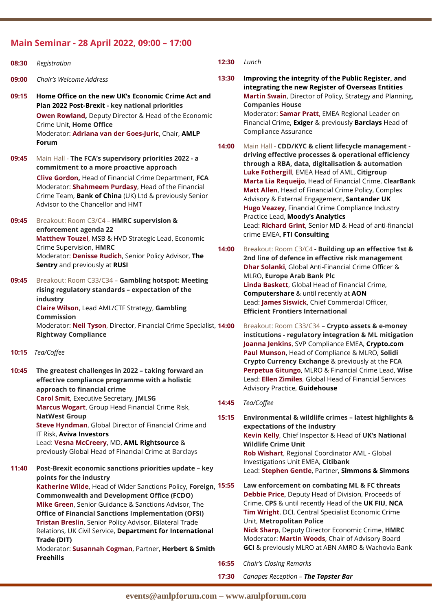### **Main Seminar - 28 April 2022, 09:00 – 17:00**

| 08:30 | Registration                                                                                                         | 12:30 | Lunch                                                                                                    |
|-------|----------------------------------------------------------------------------------------------------------------------|-------|----------------------------------------------------------------------------------------------------------|
| 09:00 | Chair's Welcome Address                                                                                              | 13:30 | Improving the integrity of the Public Register, and<br>integrating the new Register of Overseas Entities |
| 09:15 | Home Office on the new UK's Economic Crime Act and                                                                   |       | Martin Swain, Director of Policy, Strategy and Planning,                                                 |
|       | Plan 2022 Post-Brexit - key national priorities                                                                      |       | <b>Companies House</b>                                                                                   |
|       | <b>Owen Rowland, Deputy Director &amp; Head of the Economic</b>                                                      |       | Moderator: Samar Pratt, EMEA Regional Leader on                                                          |
|       | Crime Unit, Home Office                                                                                              |       | Financial Crime, Exiger & previously Barclays Head of                                                    |
|       | Moderator: Adriana van der Goes-Juric, Chair, AMLP                                                                   |       | Compliance Assurance                                                                                     |
|       | Forum                                                                                                                | 14:00 | Main Hall - CDD/KYC & client lifecycle management -                                                      |
| 09:45 | Main Hall - The FCA's supervisory priorities 2022 - a                                                                |       | driving effective processes & operational efficiency                                                     |
|       | commitment to a more proactive approach                                                                              |       | through a RBA, data, digitalisation & automation                                                         |
|       | Clive Gordon, Head of Financial Crime Department, FCA                                                                |       | Luke Fothergill, EMEA Head of AML, Citigroup<br>Marta Lia Requeijo, Head of Financial Crime, ClearBank   |
|       | Moderator: Shahmeem Purdasy, Head of the Financial                                                                   |       | Matt Allen, Head of Financial Crime Policy, Complex                                                      |
|       | Crime Team, Bank of China (UK) Ltd & previously Senior                                                               |       | Advisory & External Engagement, Santander UK                                                             |
|       | Advisor to the Chancellor and HMT                                                                                    |       | Hugo Veazey, Financial Crime Compliance Industry                                                         |
| 09:45 | Breakout: Room C3/C4 - HMRC supervision &                                                                            |       | Practice Lead, Moody's Analytics                                                                         |
|       | enforcement agenda 22                                                                                                |       | Lead: Richard Grint, Senior MD & Head of anti-financial                                                  |
|       | Matthew Touzel, MSB & HVD Strategic Lead, Economic                                                                   |       | crime EMEA, FTI Consulting                                                                               |
|       | Crime Supervision, HMRC                                                                                              | 14:00 | Breakout: Room C3/C4 - Building up an effective 1st &                                                    |
|       | Moderator: Denisse Rudich, Senior Policy Advisor, The                                                                |       | 2nd line of defence in effective risk management                                                         |
|       | Sentry and previously at RUSI                                                                                        |       | Dhar Solanki, Global Anti-Financial Crime Officer &                                                      |
| 09:45 | Breakout: Room C33/C34 - Gambling hotspot: Meeting                                                                   |       | MLRO, Europe Arab Bank Plc                                                                               |
|       | rising regulatory standards - expectation of the                                                                     |       | Linda Baskett, Global Head of Financial Crime,<br><b>Computershare &amp; until recently at AON</b>       |
|       | industry                                                                                                             |       | Lead: James Siswick, Chief Commercial Officer,                                                           |
|       | <b>Claire Wilson, Lead AML/CTF Strategy, Gambling</b>                                                                |       | <b>Efficient Frontiers International</b>                                                                 |
|       | <b>Commission</b><br>Moderator: Neil Tyson, Director, Financial Crime Specialist, 14:00                              |       | Breakout: Room C33/C34 - Crypto assets & e-money                                                         |
|       | <b>Rightway Compliance</b>                                                                                           |       | institutions - regulatory integration & ML mitigation                                                    |
|       |                                                                                                                      |       | Joanna Jenkins, SVP Compliance EMEA, Crypto.com                                                          |
| 10:15 | Tea/Coffee                                                                                                           |       | Paul Munson, Head of Compliance & MLRO, Solidi                                                           |
|       |                                                                                                                      |       | Crypto Currency Exchange & previously at the FCA                                                         |
| 10:45 | The greatest challenges in 2022 - taking forward an                                                                  |       | Perpetua Gitungo, MLRO & Financial Crime Lead, Wise                                                      |
|       | effective compliance programme with a holistic                                                                       |       | Lead: Ellen Zimiles, Global Head of Financial Services<br>Advisory Practice, Guidehouse                  |
|       | approach to financial crime<br><b>Carol Smit, Executive Secretary, JMLSG</b>                                         |       |                                                                                                          |
|       | Marcus Wogart, Group Head Financial Crime Risk,                                                                      | 14:45 | Tea/Coffee                                                                                               |
|       | <b>NatWest Group</b>                                                                                                 | 15:15 | Environmental & wildlife crimes - latest highlights &                                                    |
|       | Steve Hyndman, Global Director of Financial Crime and                                                                |       | expectations of the industry                                                                             |
|       | IT Risk, Aviva Investors                                                                                             |       | Kevin Kelly, Chief Inspector & Head of UK's National                                                     |
|       | Lead: Vesna McCreery, MD, AML Rightsource &                                                                          |       | <b>Wildlife Crime Unit</b>                                                                               |
|       | previously Global Head of Financial Crime at Barclays                                                                |       | Rob Wishart, Regional Coordinator AML - Global                                                           |
| 11:40 | Post-Brexit economic sanctions priorities update - key                                                               |       | Investigations Unit EMEA, Citibank                                                                       |
|       | points for the industry                                                                                              |       | Lead: Stephen Gentle, Partner, Simmons & Simmons                                                         |
|       | Katherine Wilde, Head of Wider Sanctions Policy, Foreign, 15:55                                                      |       | Law enforcement on combating ML & FC threats                                                             |
|       | <b>Commonwealth and Development Office (FCDO)</b>                                                                    |       | Debbie Price, Deputy Head of Division, Proceeds of                                                       |
|       | Mike Green, Senior Guidance & Sanctions Advisor, The                                                                 |       | Crime, CPS & until recently Head of the UK FIU, NCA                                                      |
|       | <b>Office of Financial Sanctions Implementation (OFSI)</b>                                                           |       | Tim Wright, DCI, Central Specialist Economic Crime<br>Unit, Metropolitan Police                          |
|       | Tristan Breslin, Senior Policy Advisor, Bilateral Trade<br>Relations, UK Civil Service, Department for International |       | Nick Sharp, Deputy Director Economic Crime, HMRC                                                         |
|       | Trade (DIT)                                                                                                          |       | Moderator: Martin Woods, Chair of Advisory Board                                                         |
|       | Moderator: Susannah Cogman, Partner, Herbert & Smith                                                                 |       | GCI & previously MLRO at ABN AMRO & Wachovia Bank                                                        |
|       | <b>Freehills</b>                                                                                                     |       |                                                                                                          |

- **events@amlpforum.com – www.amlpforum.com 16:55** *Chair's Closing Remarks* 
	- **17:30** *Canapes Reception – The Tapster Bar*